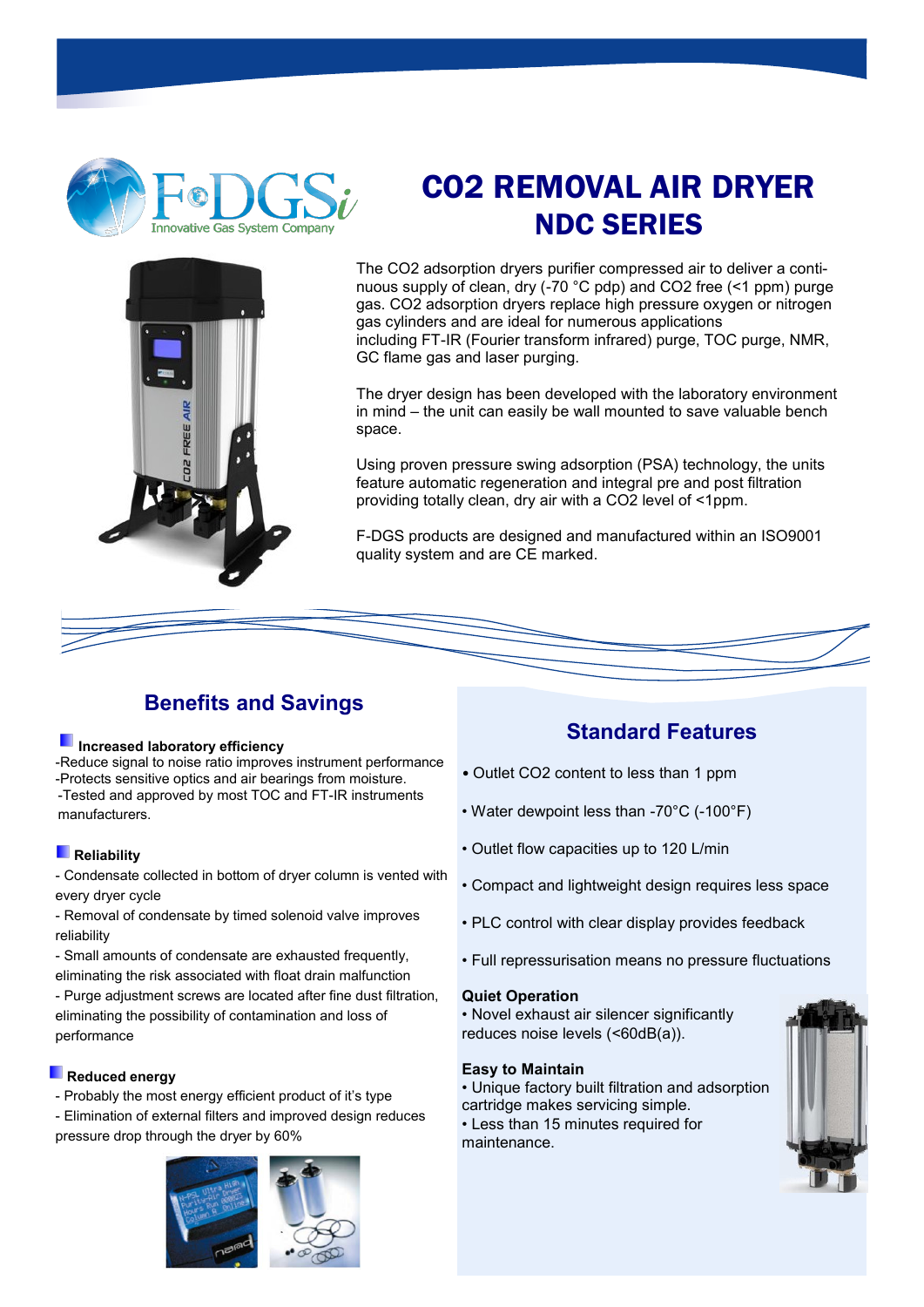



The CO2 adsorption dryers purifier compressed air to deliver a continuous supply of clean, dry (-70 °C pdp) and CO2 free (<1 ppm) purge gas. CO2 adsorption dryers replace high pressure oxygen or nitrogen gas cylinders and are ideal for numerous applications including FT-IR (Fourier transform infrared) purge, TOC purge, NMR, GC flame gas and laser purging.

The dryer design has been developed with the laboratory environment in mind – the unit can easily be wall mounted to save valuable bench space.

Using proven pressure swing adsorption (PSA) technology, the units feature automatic regeneration and integral pre and post filtration providing totally clean, dry air with a CO2 level of <1ppm.

F-DGS products are designed and manufactured within an ISO9001 quality system and are CE marked.



## **Benefits and Savings**

#### **Increased laboratory efficiency**

-Reduce signal to noise ratio improves instrument performance -Protects sensitive optics and air bearings from moisture. -Tested and approved by most TOC and FT-IR instruments manufacturers.

#### **Reliability**

- Condensate collected in bottom of dryer column is vented with every dryer cycle

- Removal of condensate by timed solenoid valve improves reliability
- Small amounts of condensate are exhausted frequently,
- eliminating the risk associated with float drain malfunction

- Purge adjustment screws are located after fine dust filtration, eliminating the possibility of contamination and loss of performance

#### **Reduced energy**

- Probably the most energy efficient product of it's type - Elimination of external filters and improved design reduces pressure drop through the dryer by 60%



### **Standard Features**

- Outlet CO2 content to less than 1 ppm
- Water dewpoint less than -70°C (-100°F)
- Outlet flow capacities up to 120 L/min
- Compact and lightweight design requires less space
- PLC control with clear display provides feedback
- Full repressurisation means no pressure fluctuations

#### **Quiet Operation**

• Novel exhaust air silencer significantly reduces noise levels (<60dB(a)).

#### **Easy to Maintain**

• Unique factory built filtration and adsorption cartridge makes servicing simple.

• Less than 15 minutes required for maintenance.